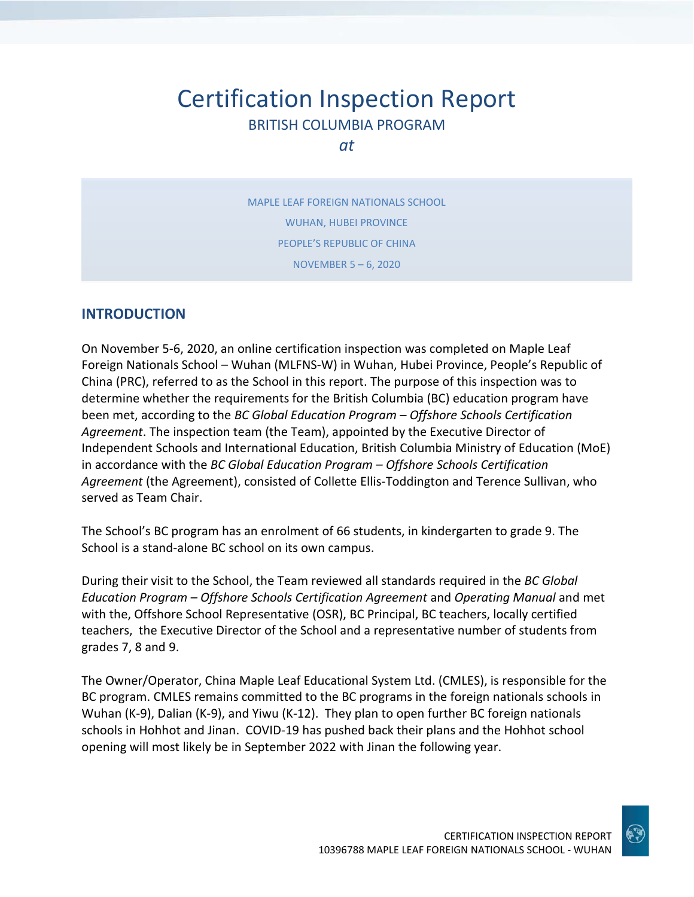# Certification Inspection Report BRITISH COLUMBIA PROGRAM

*at*

MAPLE LEAF FOREIGN NATIONALS SCHOOL WUHAN, HUBEI PROVINCE PEOPLE'S REPUBLIC OF CHINA NOVEMBER 5 – 6, 2020

## **INTRODUCTION**

On November 5-6, 2020, an online certification inspection was completed on Maple Leaf Foreign Nationals School – Wuhan (MLFNS-W) in Wuhan, Hubei Province, People's Republic of China (PRC), referred to as the School in this report. The purpose of this inspection was to determine whether the requirements for the British Columbia (BC) education program have been met, according to the *BC Global Education Program – Offshore Schools Certification Agreement*. The inspection team (the Team), appointed by the Executive Director of Independent Schools and International Education, British Columbia Ministry of Education (MoE) in accordance with the *BC Global Education Program – Offshore Schools Certification Agreement* (the Agreement), consisted of Collette Ellis-Toddington and Terence Sullivan, who served as Team Chair.

The School's BC program has an enrolment of 66 students, in kindergarten to grade 9. The School is a stand-alone BC school on its own campus.

During their visit to the School, the Team reviewed all standards required in the *BC Global Education Program – Offshore Schools Certification Agreement* and *Operating Manual* and met with the, Offshore School Representative (OSR), BC Principal, BC teachers, locally certified teachers, the Executive Director of the School and a representative number of students from grades 7, 8 and 9.

The Owner/Operator, China Maple Leaf Educational System Ltd. (CMLES), is responsible for the BC program. CMLES remains committed to the BC programs in the foreign nationals schools in Wuhan (K-9), Dalian (K-9), and Yiwu (K-12). They plan to open further BC foreign nationals schools in Hohhot and Jinan. COVID-19 has pushed back their plans and the Hohhot school opening will most likely be in September 2022 with Jinan the following year.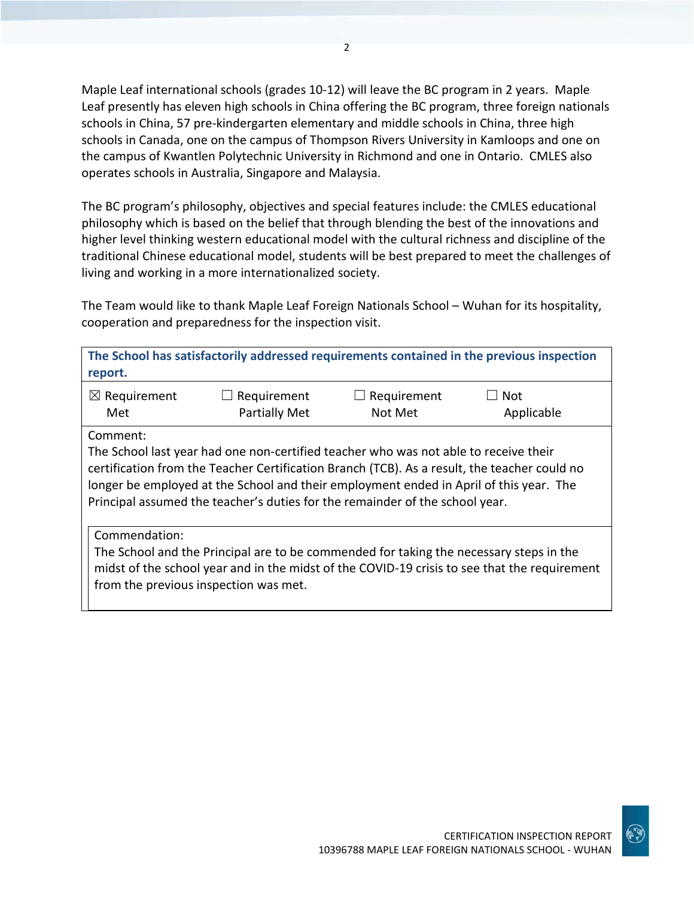Maple Leaf international schools (grades 10-12) will leave the BC program in 2 years. Maple Leaf presently has eleven high schools in China offering the BC program, three foreign nationals schools in China, 57 pre-kindergarten elementary and middle schools in China, three high schools in Canada, one on the campus of Thompson Rivers University in Kamloops and one on the campus of Kwantlen Polytechnic University in Richmond and one in Ontario. CMLES also operates schools in Australia, Singapore and Malaysia.

The BC program's philosophy, objectives and special features include: the CMLES educational philosophy which is based on the belief that through blending the best of the innovations and higher level thinking western educational model with the cultural richness and discipline of the traditional Chinese educational model, students will be best prepared to meet the challenges of living and working in a more internationalized society.

The Team would like to thank Maple Leaf Foreign Nationals School – Wuhan for its hospitality, cooperation and preparedness for the inspection visit.

| report.                 |                                                                                                                                                                                                                                                                                                                                                                                                                        |             | The School has satisfactorily addressed requirements contained in the previous inspection    |
|-------------------------|------------------------------------------------------------------------------------------------------------------------------------------------------------------------------------------------------------------------------------------------------------------------------------------------------------------------------------------------------------------------------------------------------------------------|-------------|----------------------------------------------------------------------------------------------|
| $\boxtimes$ Requirement | Requirement                                                                                                                                                                                                                                                                                                                                                                                                            | Requirement | Not                                                                                          |
| Comment:                | <b>Partially Met</b><br>Not Met<br>Applicable<br>Met<br>The School last year had one non-certified teacher who was not able to receive their<br>certification from the Teacher Certification Branch (TCB). As a result, the teacher could no<br>longer be employed at the School and their employment ended in April of this year. The<br>Principal assumed the teacher's duties for the remainder of the school year. |             |                                                                                              |
| Commendation:           | The School and the Principal are to be commended for taking the necessary steps in the<br>from the previous inspection was met.                                                                                                                                                                                                                                                                                        |             | midst of the school year and in the midst of the COVID-19 crisis to see that the requirement |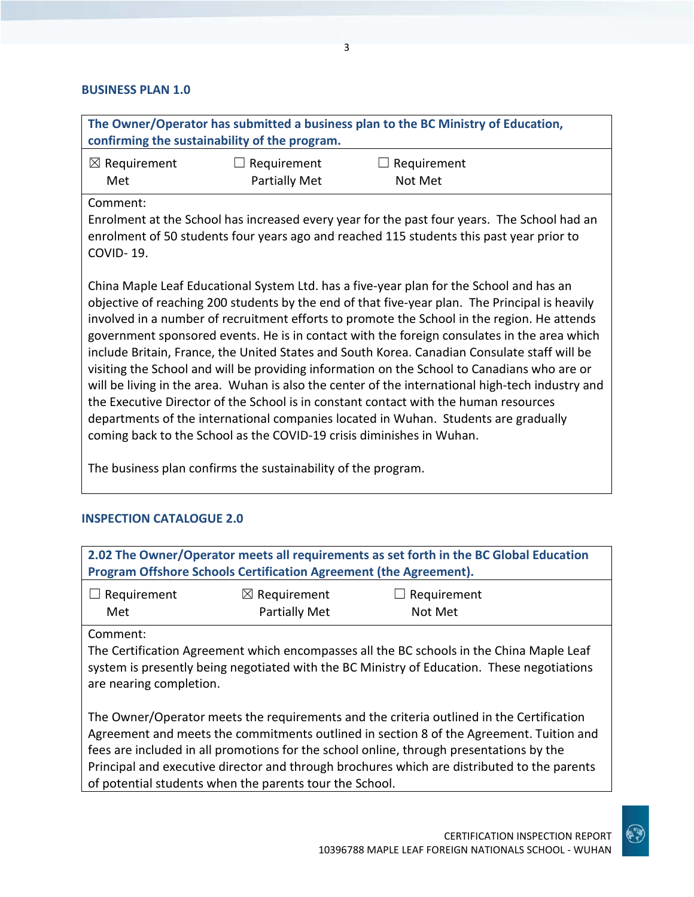#### **BUSINESS PLAN 1.0**

| The Owner/Operator has submitted a business plan to the BC Ministry of Education,            |                                               |                                                                                                  |  |
|----------------------------------------------------------------------------------------------|-----------------------------------------------|--------------------------------------------------------------------------------------------------|--|
|                                                                                              | confirming the sustainability of the program. |                                                                                                  |  |
|                                                                                              |                                               |                                                                                                  |  |
| $\boxtimes$ Requirement                                                                      | Requirement                                   | Requirement                                                                                      |  |
| Met                                                                                          | <b>Partially Met</b>                          | Not Met                                                                                          |  |
| Comment:                                                                                     |                                               |                                                                                                  |  |
|                                                                                              |                                               | Enrolment at the School has increased every year for the past four years. The School had an      |  |
|                                                                                              |                                               |                                                                                                  |  |
|                                                                                              |                                               | enrolment of 50 students four years ago and reached 115 students this past year prior to         |  |
| COVID-19.                                                                                    |                                               |                                                                                                  |  |
|                                                                                              |                                               |                                                                                                  |  |
|                                                                                              |                                               | China Maple Leaf Educational System Ltd. has a five-year plan for the School and has an          |  |
|                                                                                              |                                               | objective of reaching 200 students by the end of that five-year plan. The Principal is heavily   |  |
|                                                                                              |                                               | involved in a number of recruitment efforts to promote the School in the region. He attends      |  |
| government sponsored events. He is in contact with the foreign consulates in the area which  |                                               |                                                                                                  |  |
| include Britain, France, the United States and South Korea. Canadian Consulate staff will be |                                               |                                                                                                  |  |
|                                                                                              |                                               |                                                                                                  |  |
| visiting the School and will be providing information on the School to Canadians who are or  |                                               |                                                                                                  |  |
|                                                                                              |                                               | will be living in the area. Wuhan is also the center of the international high-tech industry and |  |
|                                                                                              |                                               | the Executive Director of the School is in constant contact with the human resources             |  |
| departments of the international companies located in Wuhan. Students are gradually          |                                               |                                                                                                  |  |

coming back to the School as the COVID-19 crisis diminishes in Wuhan.

The business plan confirms the sustainability of the program.

## **INSPECTION CATALOGUE 2.0**

| 2.02 The Owner/Operator meets all requirements as set forth in the BC Global Education                                                                                                             |  |  |  |
|----------------------------------------------------------------------------------------------------------------------------------------------------------------------------------------------------|--|--|--|
| Program Offshore Schools Certification Agreement (the Agreement).                                                                                                                                  |  |  |  |
| $\boxtimes$ Requirement<br>$\Box$ Requirement<br>$\Box$ Requirement<br>Partially Met<br>Not Met<br>Met                                                                                             |  |  |  |
| Comment:<br>The Certification Agreement which encompasses all the BC schools in the China Maple Leaf<br>system is presently being negotiated with the BC Ministry of Education. These negotiations |  |  |  |

system is presently being negotiated with the BC Ministry of Education. These negotiations are nearing completion.

The Owner/Operator meets the requirements and the criteria outlined in the Certification Agreement and meets the commitments outlined in section 8 of the Agreement. Tuition and fees are included in all promotions for the school online, through presentations by the Principal and executive director and through brochures which are distributed to the parents of potential students when the parents tour the School.

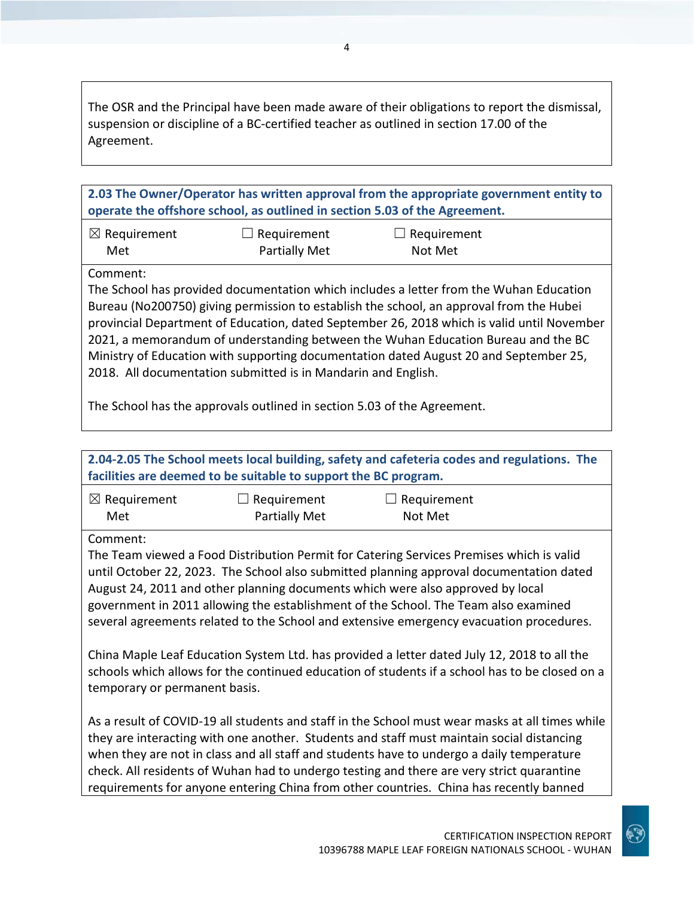The OSR and the Principal have been made aware of their obligations to report the dismissal, suspension or discipline of a BC-certified teacher as outlined in section 17.00 of the Agreement.

**2.03 The Owner/Operator has written approval from the appropriate government entity to operate the offshore school, as outlined in section 5.03 of the Agreement.**

| $\boxtimes$ Requirement | $\Box$ Requirement   | $\Box$ Requirement |
|-------------------------|----------------------|--------------------|
| Met                     | <b>Partially Met</b> | Not Met            |

Comment:

The School has provided documentation which includes a letter from the Wuhan Education Bureau (No200750) giving permission to establish the school, an approval from the Hubei provincial Department of Education, dated September 26, 2018 which is valid until November 2021, a memorandum of understanding between the Wuhan Education Bureau and the BC Ministry of Education with supporting documentation dated August 20 and September 25, 2018. All documentation submitted is in Mandarin and English.

The School has the approvals outlined in section 5.03 of the Agreement.

| 2.04-2.05 The School meets local building, safety and cafeteria codes and regulations. The                                                                                                                                                                                                                                                                                                                                                              |                                                                 |                                                                                                                                                                                                                                                                                                                                                                                                                                                                                  |  |
|---------------------------------------------------------------------------------------------------------------------------------------------------------------------------------------------------------------------------------------------------------------------------------------------------------------------------------------------------------------------------------------------------------------------------------------------------------|-----------------------------------------------------------------|----------------------------------------------------------------------------------------------------------------------------------------------------------------------------------------------------------------------------------------------------------------------------------------------------------------------------------------------------------------------------------------------------------------------------------------------------------------------------------|--|
|                                                                                                                                                                                                                                                                                                                                                                                                                                                         | facilities are deemed to be suitable to support the BC program. |                                                                                                                                                                                                                                                                                                                                                                                                                                                                                  |  |
| $\boxtimes$ Requirement<br>Met                                                                                                                                                                                                                                                                                                                                                                                                                          | $\Box$ Requirement<br><b>Partially Met</b>                      | Requirement<br>Not Met                                                                                                                                                                                                                                                                                                                                                                                                                                                           |  |
| Comment:                                                                                                                                                                                                                                                                                                                                                                                                                                                |                                                                 |                                                                                                                                                                                                                                                                                                                                                                                                                                                                                  |  |
| The Team viewed a Food Distribution Permit for Catering Services Premises which is valid<br>until October 22, 2023. The School also submitted planning approval documentation dated<br>August 24, 2011 and other planning documents which were also approved by local<br>government in 2011 allowing the establishment of the School. The Team also examined<br>several agreements related to the School and extensive emergency evacuation procedures. |                                                                 |                                                                                                                                                                                                                                                                                                                                                                                                                                                                                  |  |
| China Maple Leaf Education System Ltd. has provided a letter dated July 12, 2018 to all the<br>schools which allows for the continued education of students if a school has to be closed on a<br>temporary or permanent basis.                                                                                                                                                                                                                          |                                                                 |                                                                                                                                                                                                                                                                                                                                                                                                                                                                                  |  |
|                                                                                                                                                                                                                                                                                                                                                                                                                                                         |                                                                 | As a result of COVID-19 all students and staff in the School must wear masks at all times while<br>they are interacting with one another. Students and staff must maintain social distancing<br>when they are not in class and all staff and students have to undergo a daily temperature<br>check. All residents of Wuhan had to undergo testing and there are very strict quarantine<br>requirements for anyone entering China from other countries. China has recently banned |  |

CERTIFICATION INSPECTION REPORT 10396788 MAPLE LEAF FOREIGN NATIONALS SCHOOL - WUHAN

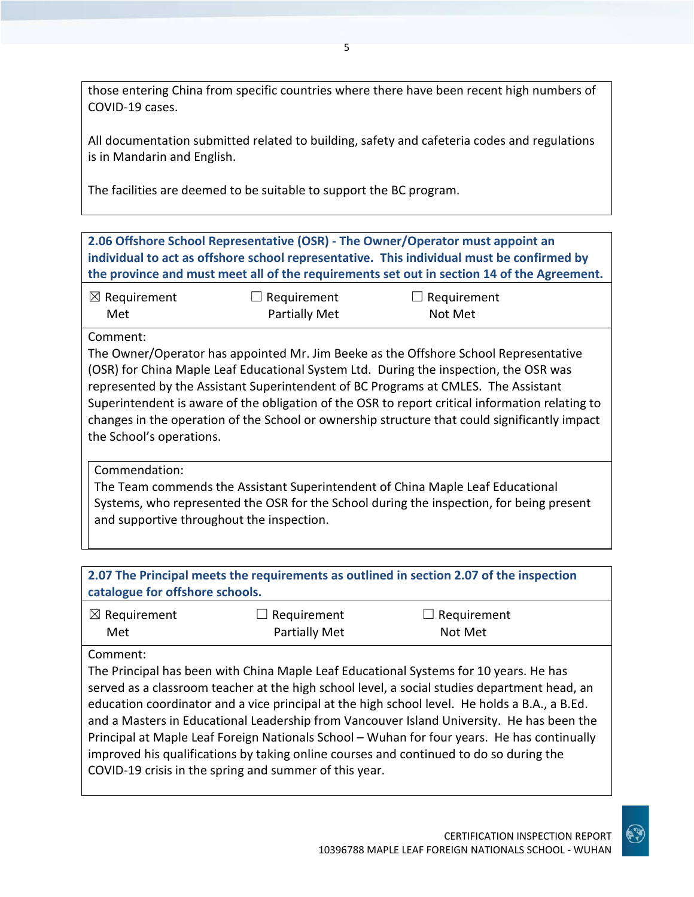those entering China from specific countries where there have been recent high numbers of COVID-19 cases.

All documentation submitted related to building, safety and cafeteria codes and regulations is in Mandarin and English.

The facilities are deemed to be suitable to support the BC program.

**2.06 Offshore School Representative (OSR) - The Owner/Operator must appoint an individual to act as offshore school representative. This individual must be confirmed by the province and must meet all of the requirements set out in section 14 of the Agreement.**

| $\boxtimes$ Requirement | $\Box$ Requirement | $\Box$ Requirement |  |
|-------------------------|--------------------|--------------------|--|
| Met                     | Partially Met      | Not Met            |  |

## Comment:

The Owner/Operator has appointed Mr. Jim Beeke as the Offshore School Representative (OSR) for China Maple Leaf Educational System Ltd. During the inspection, the OSR was represented by the Assistant Superintendent of BC Programs at CMLES. The Assistant Superintendent is aware of the obligation of the OSR to report critical information relating to changes in the operation of the School or ownership structure that could significantly impact the School's operations.

## Commendation:

The Team commends the Assistant Superintendent of China Maple Leaf Educational Systems, who represented the OSR for the School during the inspection, for being present and supportive throughout the inspection.

| catalogue for offshore schools.                                                                                                                  |                              | 2.07 The Principal meets the requirements as outlined in section 2.07 of the inspection                                                                                                                                                                                                                                                                                                                                                                                            |  |
|--------------------------------------------------------------------------------------------------------------------------------------------------|------------------------------|------------------------------------------------------------------------------------------------------------------------------------------------------------------------------------------------------------------------------------------------------------------------------------------------------------------------------------------------------------------------------------------------------------------------------------------------------------------------------------|--|
| $\boxtimes$ Requirement<br>Met                                                                                                                   | Requirement<br>Partially Met | Requirement<br>Not Met                                                                                                                                                                                                                                                                                                                                                                                                                                                             |  |
| Comment:                                                                                                                                         |                              | The Principal has been with China Maple Leaf Educational Systems for 10 years. He has<br>served as a classroom teacher at the high school level, a social studies department head, an<br>education coordinator and a vice principal at the high school level. He holds a B.A., a B.Ed.<br>and a Masters in Educational Leadership from Vancouver Island University. He has been the<br>Principal at Maple Leaf Foreign Nationals School - Wuhan for four years. He has continually |  |
| improved his qualifications by taking online courses and continued to do so during the<br>COVID-19 crisis in the spring and summer of this year. |                              |                                                                                                                                                                                                                                                                                                                                                                                                                                                                                    |  |

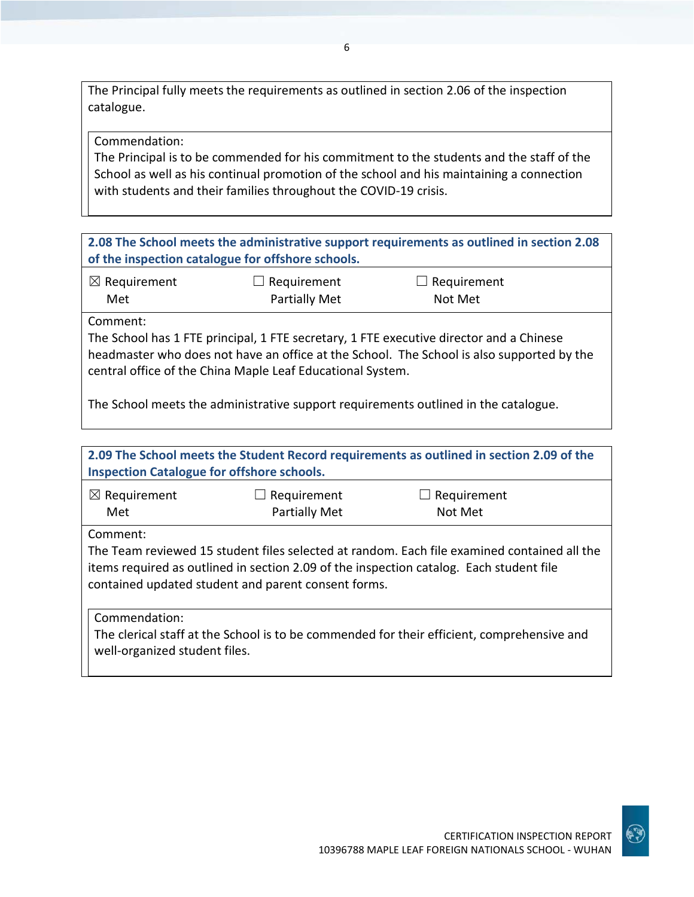The Principal fully meets the requirements as outlined in section 2.06 of the inspection catalogue.

Commendation:

The Principal is to be commended for his commitment to the students and the staff of the School as well as his continual promotion of the school and his maintaining a connection with students and their families throughout the COVID-19 crisis.

**2.08 The School meets the administrative support requirements as outlined in section 2.08 of the inspection catalogue for offshore schools.**

| $\boxtimes$ Requirement | $\Box$ Requirement   | $\Box$ Requirement |
|-------------------------|----------------------|--------------------|
| Met                     | <b>Partially Met</b> | Not Met            |

Comment:

The School has 1 FTE principal, 1 FTE secretary, 1 FTE executive director and a Chinese headmaster who does not have an office at the School. The School is also supported by the central office of the China Maple Leaf Educational System.

The School meets the administrative support requirements outlined in the catalogue.

| 2.09 The School meets the Student Record requirements as outlined in section 2.09 of the<br><b>Inspection Catalogue for offshore schools.</b>                                                                                                             |                                     |                        |  |
|-----------------------------------------------------------------------------------------------------------------------------------------------------------------------------------------------------------------------------------------------------------|-------------------------------------|------------------------|--|
| $\boxtimes$ Requirement<br>Met                                                                                                                                                                                                                            | Requirement<br><b>Partially Met</b> | Requirement<br>Not Met |  |
| Comment:<br>The Team reviewed 15 student files selected at random. Each file examined contained all the<br>items required as outlined in section 2.09 of the inspection catalog. Each student file<br>contained updated student and parent consent forms. |                                     |                        |  |
| Commendation:<br>The clerical staff at the School is to be commended for their efficient, comprehensive and<br>well-organized student files.                                                                                                              |                                     |                        |  |

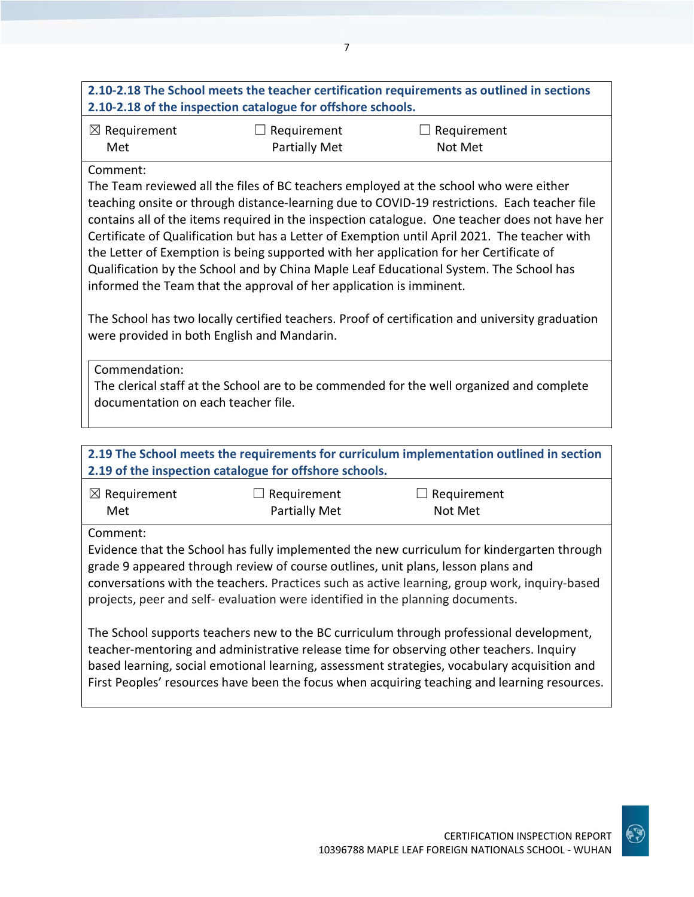# **2.10-2.18 The School meets the teacher certification requirements as outlined in sections 2.10-2.18 of the inspection catalogue for offshore schools.**

| $\boxtimes$ Requirement | $\Box$ Requirement   | $\Box$ Requirement |
|-------------------------|----------------------|--------------------|
| Met                     | <b>Partially Met</b> | Not Met            |

## Comment:

The Team reviewed all the files of BC teachers employed at the school who were either teaching onsite or through distance-learning due to COVID-19 restrictions. Each teacher file contains all of the items required in the inspection catalogue. One teacher does not have her Certificate of Qualification but has a Letter of Exemption until April 2021. The teacher with the Letter of Exemption is being supported with her application for her Certificate of Qualification by the School and by China Maple Leaf Educational System. The School has informed the Team that the approval of her application is imminent.

The School has two locally certified teachers. Proof of certification and university graduation were provided in both English and Mandarin.

Commendation: The clerical staff at the School are to be commended for the well organized and complete documentation on each teacher file.

|                                | 2.19 of the inspection catalogue for offshore schools.                                                                                                             | 2.19 The School meets the requirements for curriculum implementation outlined in section                                                                                                                                                                                                                                                                                           |  |
|--------------------------------|--------------------------------------------------------------------------------------------------------------------------------------------------------------------|------------------------------------------------------------------------------------------------------------------------------------------------------------------------------------------------------------------------------------------------------------------------------------------------------------------------------------------------------------------------------------|--|
| $\boxtimes$ Requirement<br>Met | Requirement<br><b>Partially Met</b>                                                                                                                                | Requirement<br>Not Met                                                                                                                                                                                                                                                                                                                                                             |  |
| Comment:                       | grade 9 appeared through review of course outlines, unit plans, lesson plans and<br>projects, peer and self- evaluation were identified in the planning documents. | Evidence that the School has fully implemented the new curriculum for kindergarten through<br>conversations with the teachers. Practices such as active learning, group work, inquiry-based                                                                                                                                                                                        |  |
|                                |                                                                                                                                                                    | The School supports teachers new to the BC curriculum through professional development,<br>teacher-mentoring and administrative release time for observing other teachers. Inquiry<br>based learning, social emotional learning, assessment strategies, vocabulary acquisition and<br>First Peoples' resources have been the focus when acquiring teaching and learning resources. |  |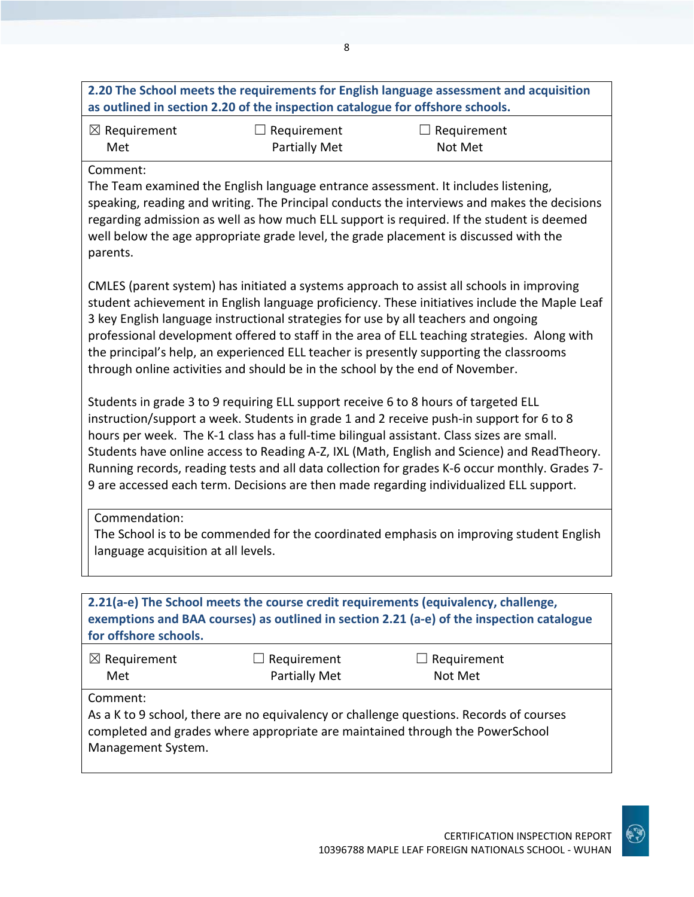|                                                      | as outlined in section 2.20 of the inspection catalogue for offshore schools. | 2.20 The School meets the requirements for English language assessment and acquisition                                                                                                                                                                                                                                                                                                                                                                                                                                                                                   |
|------------------------------------------------------|-------------------------------------------------------------------------------|--------------------------------------------------------------------------------------------------------------------------------------------------------------------------------------------------------------------------------------------------------------------------------------------------------------------------------------------------------------------------------------------------------------------------------------------------------------------------------------------------------------------------------------------------------------------------|
| $\boxtimes$ Requirement<br>Met                       | $\Box$ Requirement<br><b>Partially Met</b>                                    | $\Box$ Requirement<br>Not Met                                                                                                                                                                                                                                                                                                                                                                                                                                                                                                                                            |
| Comment:<br>parents.                                 |                                                                               | The Team examined the English language entrance assessment. It includes listening,<br>speaking, reading and writing. The Principal conducts the interviews and makes the decisions<br>regarding admission as well as how much ELL support is required. If the student is deemed<br>well below the age appropriate grade level, the grade placement is discussed with the                                                                                                                                                                                                 |
|                                                      | through online activities and should be in the school by the end of November. | CMLES (parent system) has initiated a systems approach to assist all schools in improving<br>student achievement in English language proficiency. These initiatives include the Maple Leaf<br>3 key English language instructional strategies for use by all teachers and ongoing<br>professional development offered to staff in the area of ELL teaching strategies. Along with<br>the principal's help, an experienced ELL teacher is presently supporting the classrooms                                                                                             |
|                                                      |                                                                               | Students in grade 3 to 9 requiring ELL support receive 6 to 8 hours of targeted ELL<br>instruction/support a week. Students in grade 1 and 2 receive push-in support for 6 to 8<br>hours per week. The K-1 class has a full-time bilingual assistant. Class sizes are small.<br>Students have online access to Reading A-Z, IXL (Math, English and Science) and ReadTheory.<br>Running records, reading tests and all data collection for grades K-6 occur monthly. Grades 7-<br>9 are accessed each term. Decisions are then made regarding individualized ELL support. |
| Commendation:<br>language acquisition at all levels. |                                                                               | The School is to be commended for the coordinated emphasis on improving student English                                                                                                                                                                                                                                                                                                                                                                                                                                                                                  |
| for offshore schools.                                |                                                                               | 2.21(a-e) The School meets the course credit requirements (equivalency, challenge,<br>exemptions and BAA courses) as outlined in section 2.21 (a-e) of the inspection catalogue                                                                                                                                                                                                                                                                                                                                                                                          |
| $\boxtimes$ Requirement                              | Requirement                                                                   | Requirement                                                                                                                                                                                                                                                                                                                                                                                                                                                                                                                                                              |

 Met Comment:

As a K to 9 school, there are no equivalency or challenge questions. Records of courses completed and grades where appropriate are maintained through the PowerSchool Management System.

Partially Met

Not Met

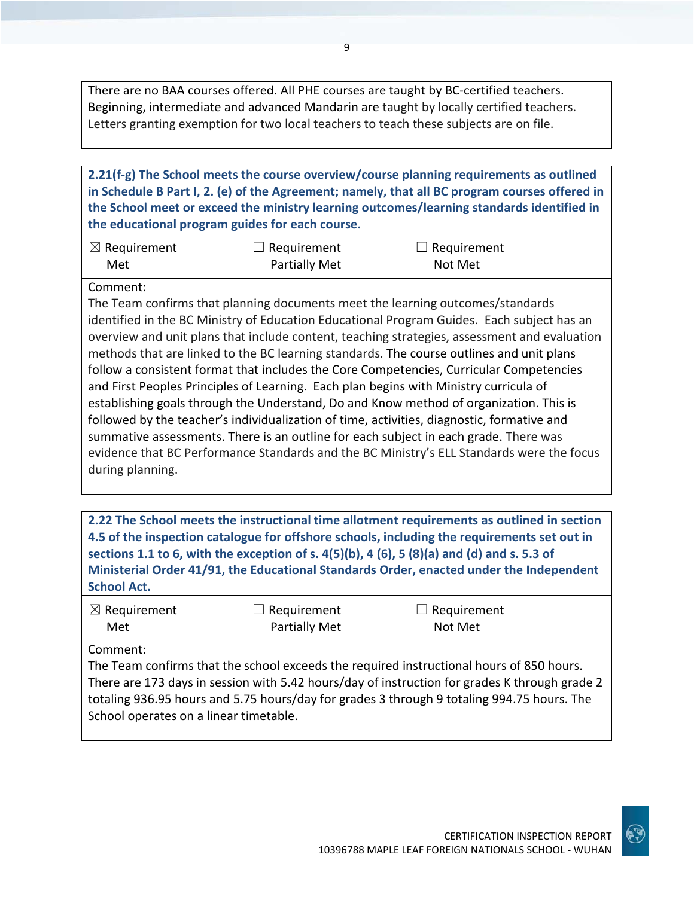There are no BAA courses offered. All PHE courses are taught by BC-certified teachers. Beginning, intermediate and advanced Mandarin are taught by locally certified teachers. Letters granting exemption for two local teachers to teach these subjects are on file.

**2.21(f-g) The School meets the course overview/course planning requirements as outlined in Schedule B Part I, 2. (e) of the Agreement; namely, that all BC program courses offered in the School meet or exceed the ministry learning outcomes/learning standards identified in the educational program guides for each course.**

| $\boxtimes$ Requirement | $\Box$ Requirement   | $\Box$ Requirement |
|-------------------------|----------------------|--------------------|
| Met                     | <b>Partially Met</b> | Not Met            |

## Comment:

The Team confirms that planning documents meet the learning outcomes/standards identified in the BC Ministry of Education Educational Program Guides. Each subject has an overview and unit plans that include content, teaching strategies, assessment and evaluation methods that are linked to the BC learning standards. The course outlines and unit plans follow a consistent format that includes the Core Competencies, Curricular Competencies and First Peoples Principles of Learning. Each plan begins with Ministry curricula of establishing goals through the Understand, Do and Know method of organization. This is followed by the teacher's individualization of time, activities, diagnostic, formative and summative assessments. There is an outline for each subject in each grade. There was evidence that BC Performance Standards and the BC Ministry's ELL Standards were the focus during planning.

**2.22 The School meets the instructional time allotment requirements as outlined in section 4.5 of the inspection catalogue for offshore schools, including the requirements set out in sections 1.1 to 6, with the exception of s. 4(5)(b), 4 (6), 5 (8)(a) and (d) and s. 5.3 of Ministerial Order 41/91, the Educational Standards Order, enacted under the Independent School Act.**

| $\boxtimes$ Requirement | $\Box$ Requirement | $\Box$ Requirement |
|-------------------------|--------------------|--------------------|
| Met                     | Partially Met      | Not Met            |

#### Comment:

The Team confirms that the school exceeds the required instructional hours of 850 hours. There are 173 days in session with 5.42 hours/day of instruction for grades K through grade 2 totaling 936.95 hours and 5.75 hours/day for grades 3 through 9 totaling 994.75 hours. The School operates on a linear timetable.

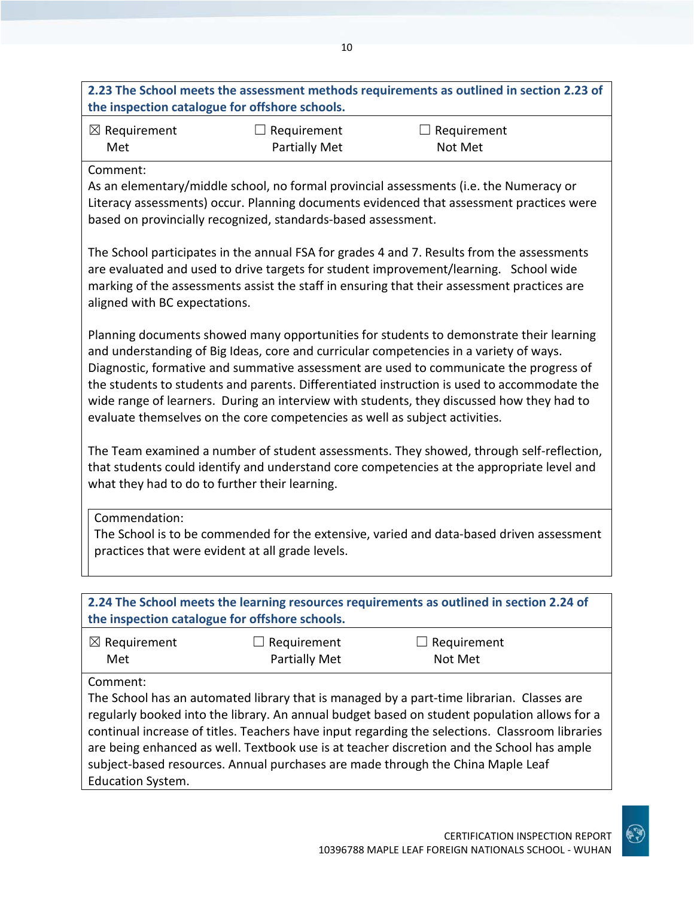# **2.23 The School meets the assessment methods requirements as outlined in section 2.23 of the inspection catalogue for offshore schools.**

| $\boxtimes$ Requirement | $\Box$ Requirement   | $\Box$ Requirement |
|-------------------------|----------------------|--------------------|
| Met                     | <b>Partially Met</b> | Not Met            |

## Comment:

As an elementary/middle school, no formal provincial assessments (i.e. the Numeracy or Literacy assessments) occur. Planning documents evidenced that assessment practices were based on provincially recognized, standards-based assessment.

The School participates in the annual FSA for grades 4 and 7. Results from the assessments are evaluated and used to drive targets for student improvement/learning. School wide marking of the assessments assist the staff in ensuring that their assessment practices are aligned with BC expectations.

Planning documents showed many opportunities for students to demonstrate their learning and understanding of Big Ideas, core and curricular competencies in a variety of ways. Diagnostic, formative and summative assessment are used to communicate the progress of the students to students and parents. Differentiated instruction is used to accommodate the wide range of learners. During an interview with students, they discussed how they had to evaluate themselves on the core competencies as well as subject activities.

The Team examined a number of student assessments. They showed, through self-reflection, that students could identify and understand core competencies at the appropriate level and what they had to do to further their learning.

Commendation:

The School is to be commended for the extensive, varied and data-based driven assessment practices that were evident at all grade levels.

| 2.24 The School meets the learning resources requirements as outlined in section 2.24 of<br>the inspection catalogue for offshore schools. |                                     |                                                                                                                                                                                                                                                                                                                                                                                                                                                                               |  |
|--------------------------------------------------------------------------------------------------------------------------------------------|-------------------------------------|-------------------------------------------------------------------------------------------------------------------------------------------------------------------------------------------------------------------------------------------------------------------------------------------------------------------------------------------------------------------------------------------------------------------------------------------------------------------------------|--|
| $\boxtimes$ Requirement<br>Met                                                                                                             | Requirement<br><b>Partially Met</b> | Requirement<br>Not Met                                                                                                                                                                                                                                                                                                                                                                                                                                                        |  |
| Comment:<br><b>Education System.</b>                                                                                                       |                                     | The School has an automated library that is managed by a part-time librarian. Classes are<br>regularly booked into the library. An annual budget based on student population allows for a<br>continual increase of titles. Teachers have input regarding the selections. Classroom libraries<br>are being enhanced as well. Textbook use is at teacher discretion and the School has ample<br>subject-based resources. Annual purchases are made through the China Maple Leaf |  |

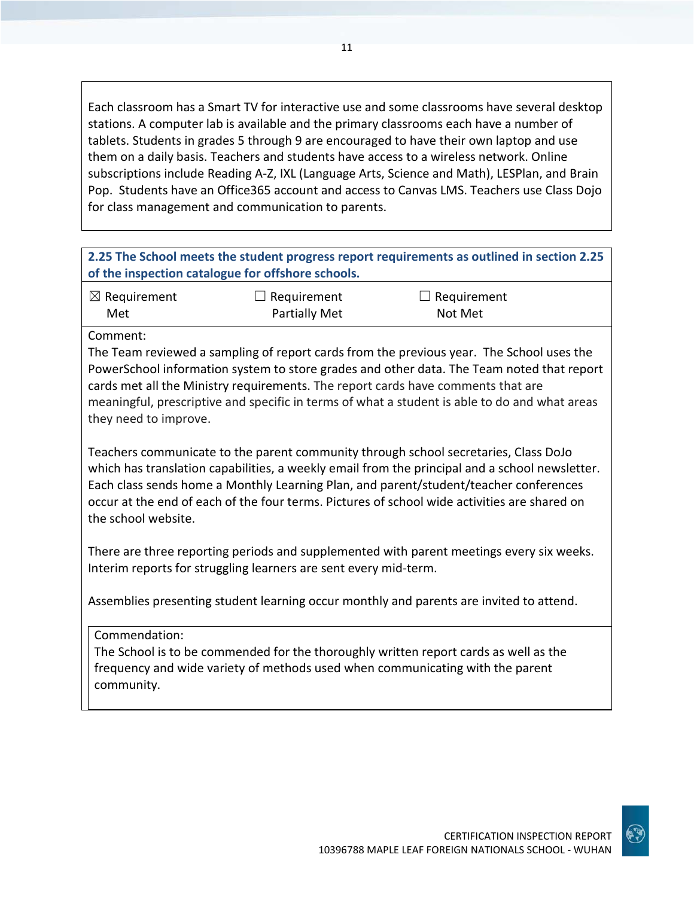Each classroom has a Smart TV for interactive use and some classrooms have several desktop stations. A computer lab is available and the primary classrooms each have a number of tablets. Students in grades 5 through 9 are encouraged to have their own laptop and use them on a daily basis. Teachers and students have access to a wireless network. Online subscriptions include Reading A-Z, IXL (Language Arts, Science and Math), LESPlan, and Brain Pop. Students have an Office365 account and access to Canvas LMS. Teachers use Class Dojo for class management and communication to parents.

| 2.25 The School meets the student progress report requirements as outlined in section 2.25 |
|--------------------------------------------------------------------------------------------|
| of the inspection catalogue for offshore schools.                                          |

| $\boxtimes$ Requirement | $\Box$ Requirement   | $\Box$ Requirement |
|-------------------------|----------------------|--------------------|
| Met                     | <b>Partially Met</b> | Not Met            |

Comment:

The Team reviewed a sampling of report cards from the previous year. The School uses the PowerSchool information system to store grades and other data. The Team noted that report cards met all the Ministry requirements. The report cards have comments that are meaningful, prescriptive and specific in terms of what a student is able to do and what areas they need to improve.

Teachers communicate to the parent community through school secretaries, Class DoJo which has translation capabilities, a weekly email from the principal and a school newsletter. Each class sends home a Monthly Learning Plan, and parent/student/teacher conferences occur at the end of each of the four terms. Pictures of school wide activities are shared on the school website.

There are three reporting periods and supplemented with parent meetings every six weeks. Interim reports for struggling learners are sent every mid-term.

Assemblies presenting student learning occur monthly and parents are invited to attend.

Commendation:

The School is to be commended for the thoroughly written report cards as well as the frequency and wide variety of methods used when communicating with the parent community.

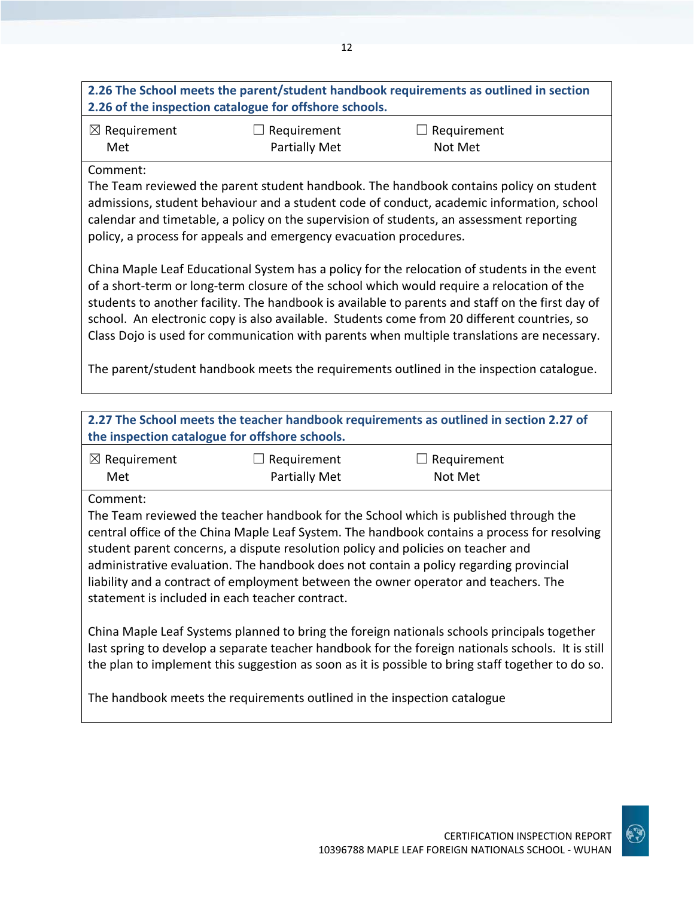# **2.26 The School meets the parent/student handbook requirements as outlined in section 2.26 of the inspection catalogue for offshore schools.**

| $\boxtimes$ Requirement | $\Box$ Requirement   | $\Box$ Requirement |
|-------------------------|----------------------|--------------------|
| Met                     | <b>Partially Met</b> | Not Met            |

## Comment:

The Team reviewed the parent student handbook. The handbook contains policy on student admissions, student behaviour and a student code of conduct, academic information, school calendar and timetable, a policy on the supervision of students, an assessment reporting policy, a process for appeals and emergency evacuation procedures.

China Maple Leaf Educational System has a policy for the relocation of students in the event of a short-term or long-term closure of the school which would require a relocation of the students to another facility. The handbook is available to parents and staff on the first day of school. An electronic copy is also available. Students come from 20 different countries, so Class Dojo is used for communication with parents when multiple translations are necessary.

The parent/student handbook meets the requirements outlined in the inspection catalogue.

| 2.27 The School meets the teacher handbook requirements as outlined in section 2.27 of<br>the inspection catalogue for offshore schools.                                                                                                                                                                                                                                                                                                                                                                                 |                      |             |  |
|--------------------------------------------------------------------------------------------------------------------------------------------------------------------------------------------------------------------------------------------------------------------------------------------------------------------------------------------------------------------------------------------------------------------------------------------------------------------------------------------------------------------------|----------------------|-------------|--|
| $\boxtimes$ Requirement                                                                                                                                                                                                                                                                                                                                                                                                                                                                                                  | Requirement          | Requirement |  |
| Met                                                                                                                                                                                                                                                                                                                                                                                                                                                                                                                      | <b>Partially Met</b> | Not Met     |  |
| Comment:<br>The Team reviewed the teacher handbook for the School which is published through the<br>central office of the China Maple Leaf System. The handbook contains a process for resolving<br>student parent concerns, a dispute resolution policy and policies on teacher and<br>administrative evaluation. The handbook does not contain a policy regarding provincial<br>liability and a contract of employment between the owner operator and teachers. The<br>statement is included in each teacher contract. |                      |             |  |
| China Maple Leaf Systems planned to bring the foreign nationals schools principals together<br>last spring to develop a separate teacher handbook for the foreign nationals schools. It is still<br>the plan to implement this suggestion as soon as it is possible to bring staff together to do so.                                                                                                                                                                                                                    |                      |             |  |
| The handbook meets the requirements outlined in the inspection catalogue                                                                                                                                                                                                                                                                                                                                                                                                                                                 |                      |             |  |